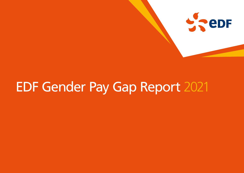

# EDF Gender Pay Gap Report 2021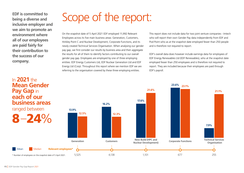**EDF is committed to being a diverse and inclusive employer and we aim to promote an environment where all of our employees are paid fairly for their contribution to the success of our company.** 

### Scope of the report:

On the snapshot date of 5 April 2021 EDF employed 11,992 Relevant Employees across its five main business areas: Generation, Customers, Hinkley Point C and Nuclear Development, Corporate Functions, and its newly created Technical Services Organisation. When analysing our gender pay gap, we first consider our results by business area and then aggregate the results for all of them to identify factors contributing to our overall gender pay gap. Employees are employed by one of three employing entities: EDF Energy Customers Ltd, EDF Nuclear Generation Ltd and EDF Energy Ltd (Corp). Throughout this report where we mention EDF we are referring to the organisation covered by these three employing entities.

This report does not include data for two joint venture companies - Imtech who will report their own Gender Pay data independently from EDF and Pod Point who as at the snapshot date employed fewer than 250 people and is therefore not required to report.

EDF's overall data does however include earnings data for employees of EDF Energy Renewables Ltd (EDF Renewables), who at the snapshot date employed fewer than 250 employees and is therefore not required to report. They are included because their employees are paid through EDF's payroll.

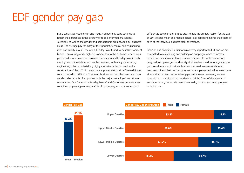## EDF gender pay gap

EDF's overall aggregate mean and median gender pay gaps continue to reflect the differences in the diversity of roles performed, market pay variations, as well as the gender and demographic mix between our business areas. The average pay for many of the specialist, technical and engineering roles particularly in our Generation, Hinkley Point C and Nuclear Development business areas, is typically higher in comparison to the customer service roles performed in our Customers business. Generation and Hinkley Point C both employ proportionately more men than women, with many undertaking engineering roles or undertaking highly specialised roles involved in the construction of the UK's first new nuclear power station since Sizewell B was commissioned in 1995. Our Customers business on the other hand is a more gender balanced mix of employees with the majority employed in customer service roles. Our Generation, Hinkley Point C and Customers business areas combined employ approximately 90% of our employees and the structural

differences between these three areas that is the primary reason for the size of EDF's overall mean and median gender pay gap being higher than those of each of the individual business areas themselves.

Inclusion and diversity in all its forms are very important to EDF and we are committed to maintaining and building on our programmes to increase female participation at all levels. Our commitment to implement actions designed to improve gender diversity at all levels and reduce our gender pay gap overall as and at individual business unit level, remains undaunted. We are confident that the measures we have implemented will achieve these aims in the long term as our talent pipeline increases. However, we also recognise that despite all the good work and the focus of the actions we are undertaking, not only is there more to do, but that sustained progress will take time.

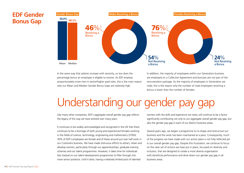### **EDF Gender Bonus Gap 34.4%**



In the same way that salaries increase with seniority, so too does the percentage bonus an employee is eligible to receive. As EDF employs proportionately more men in senior/higher paid roles, this is the main reason proportionately more men in senior/higher paid roles, this is the main reason why our Mean and Median Gender Bonus Gaps are relatively high. **Mea<sup>n</sup> Median**

In addition, the majority of employees within our Generation business are employed on a Collective Agreement and bonuses are not part of the remuneration package. As the majority of employees in Generation are male, this is the reason why the number of male employees receiving a bonus is lower than the number of females.

## Understanding our gender pay gap

Like many other companies, EDF's aggregate overall gender pay gap reflects the legacy of the way we have evolved over many years.

It continues to be widely acknowledged and recognised in the UK that there continues to be a shortage of both young and experienced females working in the fields of science, technology, engineering and mathematics (STEM). 30% of EDF's employees are female and of these around just over half work in our Customers business. We have made strenuous efforts to attract, retain and develop women, particularly through our apprenticeships, graduate training schemes and our talent programmes. However, it takes time for individuals fast tracked on our talent development programmes to filter through into more senior positions. Until it does, having a relatively limited pool of talented

women with the skills and experience we need, will continue to be a factor significantly contributing not only to our aggregate overall gender pay gap, but also the gender pay gap in each of our distinct business areas.

Several years ago, we began a programme to re-shape and restructure our business and this work has been maintained at a pace. Consequently, much of the progress we have made with our action plans is not fully reflected yet in our overall gender pay gap. Despite this frustration, we continue to focus on the clear set of actions we have put in place, focussed on diversity and inclusion, that are designed to create a more diverse organisation with beneficial performance and drive down our gender pay gap in all business areas.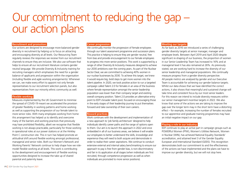### Our commitment to reducing the gap – our action plans

#### **Recruitment and promotion:**

Our actions are designed to encourage more balanced gender diversity in recruitment by helping us to focus on attracting and encouraging diversity at all levels. Our Resourcing Team regularly reviews the responses we receive from our recruitment channels to ensure they are inclusive. We also use software that helps to ensure all our recruitment literature contains gender neutral language. We provide Diversity & Inclusivity training for recruiting managers which emphasises the need for a gender balance of applicants and progression within the organisation (including flexible and agile working arrangements). Whenever we can, we make every effort to appoint not only female representatives to our recruitment selection panels, but also representatives from our minority ethnic community as well.

#### **Flexible working:**

Measures implemented by the UK Government to minimise the spread of COVID-19 meant we accelerated the provision of greater flexibility in working patterns and home working as well as supporting the progression of our female talent to more senior roles. With many employees working from home this arrangement has helped us to identify and overcome many of the barriers and working practices that previously may have prohibited flexibility, albeit we recognise that flexible working is not always practicable, particularly for those working in operational roles at our power stations or at the Hinkley Point C construction site. This in turn has helped promote an attitudinal shift around flexible working amongst professional, managerial and senior roles. Both our Women's Network and Working Parents' Network continue to help shape how we rolemodel flexible working at all levels. This work is contributing to the development and encouragement of flexible working opportunities designed to increase the take up of shared parental and paternity leave.

#### **Career progression:**

We continually monitor the progression of female employees through our talent assessment programme and succession plans. This practice is helping to ensure they are gender neutral, free from bias and provide encouragement to our female employees to progress into more senior positions. This work is supported by a range of other Diversity & Inclusivity measures designed to achieve our 2030 ambitions over the coming years. As part of the Nuclear Sector Deal, we are committed to achieving 40% women in our nuclear businesses by 2030. To achieve this target, we knew it would require big, bold steps to get more women into the talent pipeline. In 2020, we took positive action to run a targeted campaign called Talent 2.0 for females in an area of the business where female representation amongst the senior leadership population was lower than their company target and existing overall company position. Talent 2.0 provides an alternative entry point to EDF's broader talent pool, focused on encouraging those in the early stages of their leadership journey to put themselves forward and take ownership of their own careers.

#### **Reward practices:**

Work continues with the development and implementation of a new approach to 'job family architecture' designed to help individuals identify career paths and the range of options open to them. Our aim is to launch this approach in 2022 and once embedded in all of our business areas, we believe it will enable our employees to better understand the skills, knowledge and experience they will need to both acquire and demonstrate in order to realise their career aspirations. We continue to conduct extensive external and internal salary benchmarking to ensure our approach to pay is free from gender bias, is non-discriminatory and fair in its application at all stages (when individuals are first recruited, through competence progression as well as when individuals are promoted to more senior positions).

#### **Meeting our targets:**

As far back as 2016 we introduced a series of challenging gender diversity targets at senior manager, manager and employee levels. Between April 2019 and April 2020 despite significant re-shaping of our business, the proportion of women in our Senior Leadership Team has increased to 16% and at managerial level it has also remained at 26%. As previously stated, we are working hard to increase the diversity of our senior leadership and managerial populations. We continually measure progress from a gender diversity perspective. All people metrics are analysed by gender and our Executive Team is accountable for achieving our gender balance targets. Whilst our data shows that we have identified the correct actions, it also shows that meaningful and sustained change will take time and consistent focus by our most senior leaders. For this reason we intend to include diversity measures within our senior management incentive targets in 2022. We also know that some of the actions we are taking to improve the gap over the longer term may in the short term have a distorting effect – for example, increasing the number of females recruited to our apprentice and graduate training programmes may have an initial negative impact on our gap.

#### **Playing a role in our industry:**

EDF continues to play an active part in campaign groups such as POWERful Women (PfW), Women's Utilities Network, Women in Nuclear (WIN), has achieved National Equality Standards' accreditation, and attained level 3 of the Gender Equality European and International Standard (GEEIS). This recognition demonstrates both our commitment to and the effectiveness of the actions we have implemented and the plans we have to improve our gender diversity, but we will not stop here.